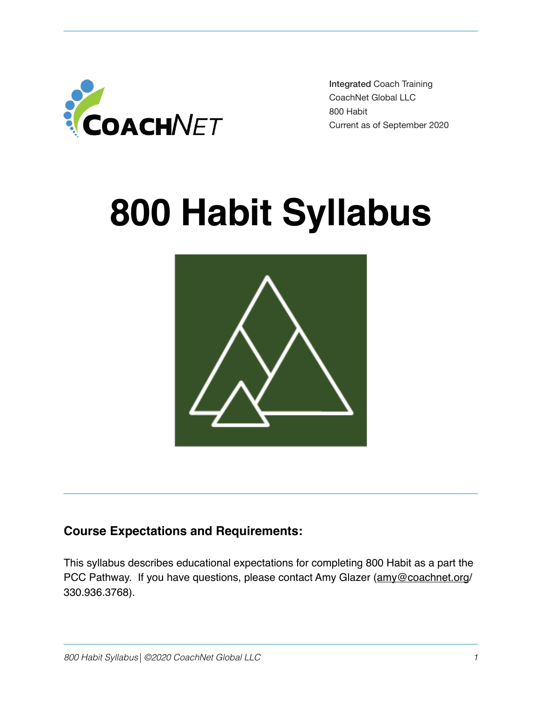

 Integrated Coach Training CoachNet Global LLC 800 Habit Current as of September 2020

# **800 Habit Syllabus**



# **Course Expectations and Requirements:**

This syllabus describes educational expectations for completing 800 Habit as a part the PCC Pathway. If you have questions, please contact Amy Glazer ([amy@coachnet.org](mailto:amy@coachnet.org)/ 330.936.3768).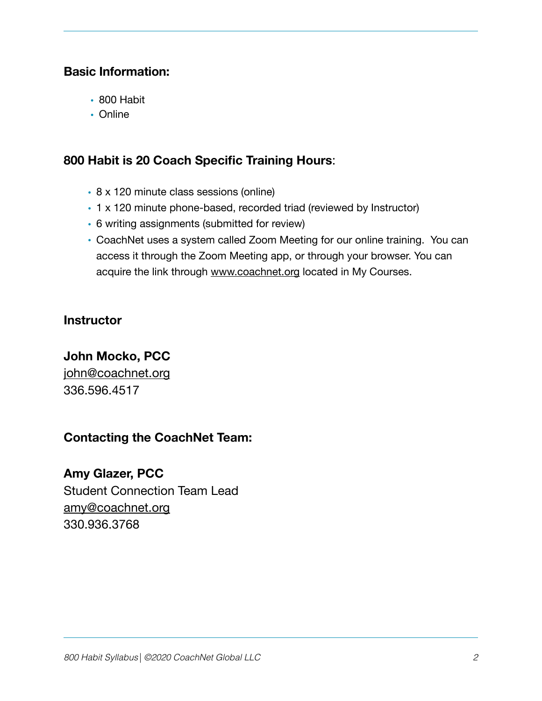## **Basic Information:**

- 800 Habit
- Online

## **800 Habit is 20 Coach Specific Training Hours**:

- 8 x 120 minute class sessions (online)
- 1 x 120 minute phone-based, recorded triad (reviewed by Instructor)
- 6 writing assignments (submitted for review)
- CoachNet uses a system called Zoom Meeting for our online training. You can access it through the Zoom Meeting app, or through your browser. You can acquire the link through [www.coachnet.org](http://www.coachnet.org) located in My Courses.

## **Instructor**

# **John Mocko, PCC**

[john@coachnet.org](mailto:john@coachnet.org) 336.596.4517

# **Contacting the CoachNet Team:**

# **Amy Glazer, PCC**

Student Connection Team Lead [amy@coachnet.org](mailto:amy@coachnet.org) 330.936.3768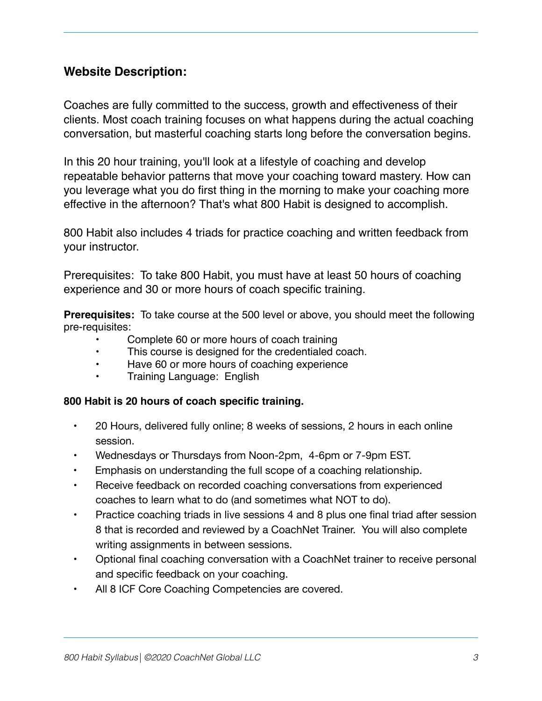## **Website Description:**

Coaches are fully committed to the success, growth and effectiveness of their clients. Most coach training focuses on what happens during the actual coaching conversation, but masterful coaching starts long before the conversation begins.

In this 20 hour training, you'll look at a lifestyle of coaching and develop repeatable behavior patterns that move your coaching toward mastery. How can you leverage what you do first thing in the morning to make your coaching more effective in the afternoon? That's what 800 Habit is designed to accomplish.

800 Habit also includes 4 triads for practice coaching and written feedback from your instructor.

Prerequisites: To take 800 Habit, you must have at least 50 hours of coaching experience and 30 or more hours of coach specific training.

**Prerequisites:** To take course at the 500 level or above, you should meet the following pre-requisites:

- Complete 60 or more hours of coach training
- This course is designed for the credentialed coach.
- Have 60 or more hours of coaching experience
- Training Language: English

#### **800 Habit is 20 hours of coach specific training.**

- • 20 Hours, delivered fully online; 8 weeks of sessions, 2 hours in each online session.
- Wednesdays or Thursdays from Noon-2pm, 4-6pm or 7-9pm EST.
- Emphasis on understanding the full scope of a coaching relationship.
- • Receive feedback on recorded coaching conversations from experienced coaches to learn what to do (and sometimes what NOT to do).
- Practice coaching triads in live sessions 4 and 8 plus one final triad after session 8 that is recorded and reviewed by a CoachNet Trainer. You will also complete writing assignments in between sessions.
- Optional final coaching conversation with a CoachNet trainer to receive personal and specific feedback on your coaching.
- All 8 ICF Core Coaching Competencies are covered.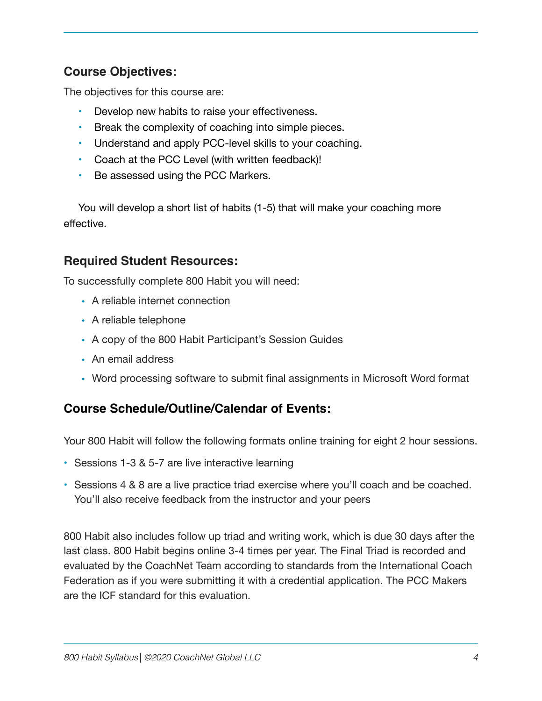# **Course Objectives:**

The objectives for this course are:

- Develop new habits to raise your effectiveness.
- Break the complexity of coaching into simple pieces.
- Understand and apply PCC-level skills to your coaching.
- Coach at the PCC Level (with written feedback)!
- Be assessed using the PCC Markers.

You will develop a short list of habits (1-5) that will make your coaching more effective.

## **Required Student Resources:**

To successfully complete 800 Habit you will need:

- A reliable internet connection
- A reliable telephone
- A copy of the 800 Habit Participant's Session Guides
- An email address
- Word processing software to submit final assignments in Microsoft Word format

# **Course Schedule/Outline/Calendar of Events:**

Your 800 Habit will follow the following formats online training for eight 2 hour sessions.

- Sessions 1-3 & 5-7 are live interactive learning
- Sessions 4 & 8 are a live practice triad exercise where you'll coach and be coached. You'll also receive feedback from the instructor and your peers

800 Habit also includes follow up triad and writing work, which is due 30 days after the last class. 800 Habit begins online 3-4 times per year. The Final Triad is recorded and evaluated by the CoachNet Team according to standards from the International Coach Federation as if you were submitting it with a credential application. The PCC Makers are the ICF standard for this evaluation.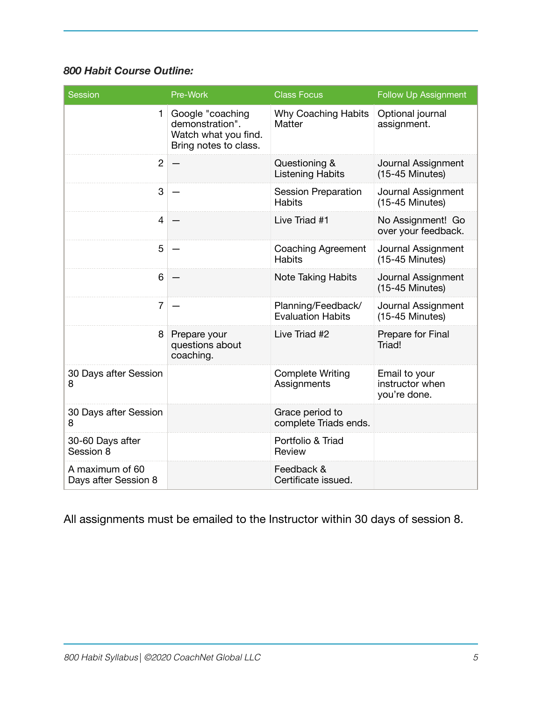## *800 Habit Course Outline:*

| <b>Session</b>                          | Pre-Work                                                                             | <b>Class Focus</b>                             | <b>Follow Up Assignment</b>                      |
|-----------------------------------------|--------------------------------------------------------------------------------------|------------------------------------------------|--------------------------------------------------|
| $\mathbf{1}$                            | Google "coaching<br>demonstration".<br>Watch what you find.<br>Bring notes to class. | <b>Why Coaching Habits</b><br>Matter           | Optional journal<br>assignment.                  |
| $\overline{2}$                          |                                                                                      | Questioning &<br><b>Listening Habits</b>       | Journal Assignment<br>$(15-45$ Minutes)          |
| 3                                       |                                                                                      | <b>Session Preparation</b><br><b>Habits</b>    | Journal Assignment<br>$(15-45$ Minutes)          |
| $\overline{4}$                          |                                                                                      | Live Triad #1                                  | No Assignment! Go<br>over your feedback.         |
| 5                                       |                                                                                      | <b>Coaching Agreement</b><br><b>Habits</b>     | Journal Assignment<br>$(15-45$ Minutes)          |
| 6                                       |                                                                                      | <b>Note Taking Habits</b>                      | Journal Assignment<br>$(15-45$ Minutes)          |
| $\overline{7}$                          |                                                                                      | Planning/Feedback/<br><b>Evaluation Habits</b> | Journal Assignment<br>$(15-45$ Minutes)          |
| 8                                       | Prepare your<br>questions about<br>coaching.                                         | Live Triad #2                                  | Prepare for Final<br>Triad!                      |
| 30 Days after Session<br>8              |                                                                                      | <b>Complete Writing</b><br>Assignments         | Email to your<br>instructor when<br>you're done. |
| 30 Days after Session<br>8              |                                                                                      | Grace period to<br>complete Triads ends.       |                                                  |
| 30-60 Days after<br>Session 8           |                                                                                      | Portfolio & Triad<br>Review                    |                                                  |
| A maximum of 60<br>Days after Session 8 |                                                                                      | Feedback &<br>Certificate issued.              |                                                  |

All assignments must be emailed to the Instructor within 30 days of session 8.